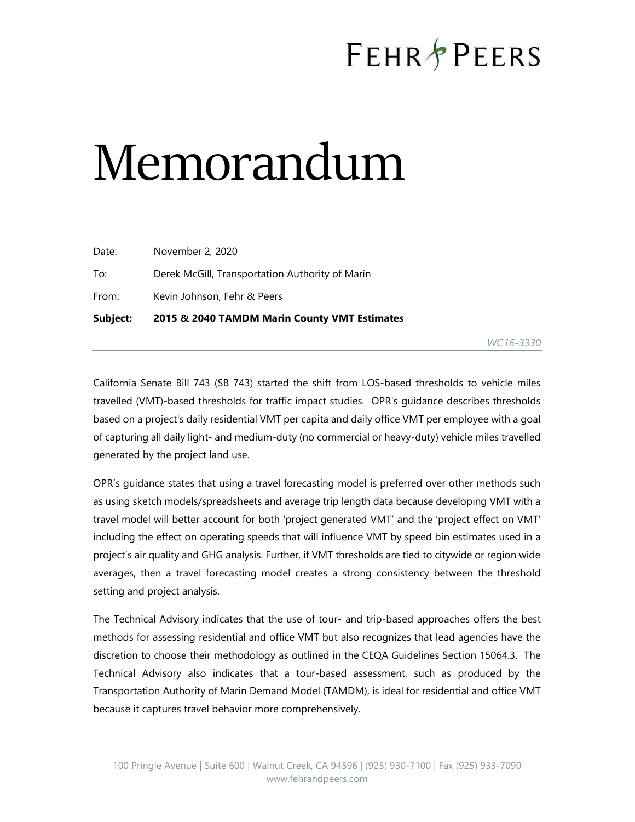# **FEHR PEERS**

# Memorandum

| Subject: | 2015 & 2040 TAMDM Marin County VMT Estimates    |
|----------|-------------------------------------------------|
| From:    | Kevin Johnson, Fehr & Peers                     |
| To:      | Derek McGill, Transportation Authority of Marin |
| Date:    | November 2, 2020                                |

WC16-3330

California Senate Bill 743 (SB 743) started the shift from LOS-based thresholds to vehicle miles travelled (VMT)-based thresholds for traffic impact studies. OPR's guidance describes thresholds based on a project's daily residential VMT per capita and daily office VMT per employee with a goal of capturing all daily light- and medium-duty (no commercial or heavy-duty) vehicle miles travelled generated by the project land use.

OPR's guidance states that using a travel forecasting model is preferred over other methods such as using sketch models/spreadsheets and average trip length data because developing VMT with a travel model will better account for both 'project generated VMT' and the 'project effect on VMT' including the effect on operating speeds that will influence VMT by speed bin estimates used in a project's air quality and GHG analysis. Further, if VMT thresholds are tied to citywide or region wide averages, then a travel forecasting model creates a strong consistency between the threshold setting and project analysis.

The Technical Advisory indicates that the use of tour- and trip-based approaches offers the best methods for assessing residential and office VMT but also recognizes that lead agencies have the discretion to choose their methodology as outlined in the CEQA Guidelines Section 15064.3. The Technical Advisory also indicates that a tour-based assessment, such as produced by the Transportation Authority of Marin Demand Model (TAMDM), is ideal for residential and office VMT because it captures travel behavior more comprehensively.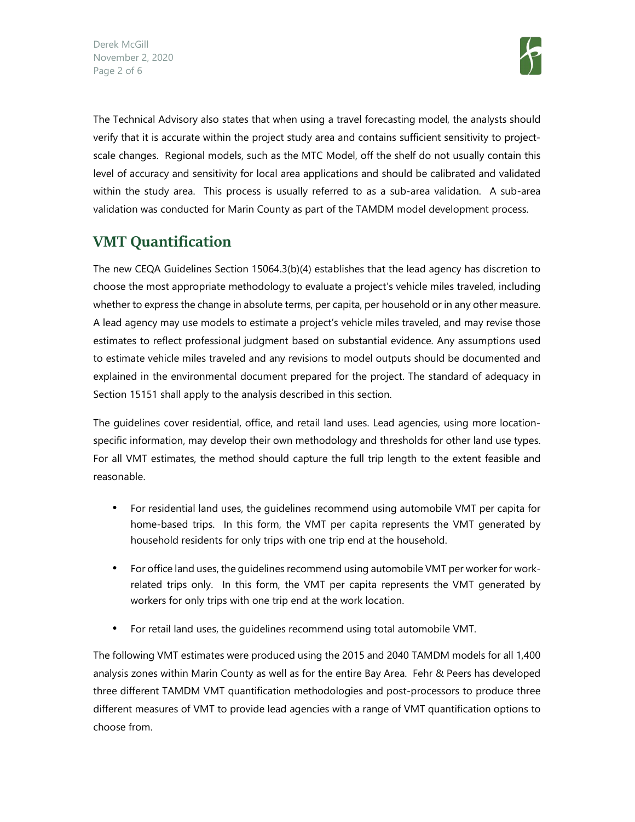

The Technical Advisory also states that when using a travel forecasting model, the analysts should verify that it is accurate within the project study area and contains sufficient sensitivity to projectscale changes. Regional models, such as the MTC Model, off the shelf do not usually contain this level of accuracy and sensitivity for local area applications and should be calibrated and validated within the study area. This process is usually referred to as a sub-area validation. A sub-area validation was conducted for Marin County as part of the TAMDM model development process.

## VMT Quantification

The new CEQA Guidelines Section 15064.3(b)(4) establishes that the lead agency has discretion to choose the most appropriate methodology to evaluate a project's vehicle miles traveled, including whether to express the change in absolute terms, per capita, per household or in any other measure. A lead agency may use models to estimate a project's vehicle miles traveled, and may revise those estimates to reflect professional judgment based on substantial evidence. Any assumptions used to estimate vehicle miles traveled and any revisions to model outputs should be documented and explained in the environmental document prepared for the project. The standard of adequacy in Section 15151 shall apply to the analysis described in this section.

The guidelines cover residential, office, and retail land uses. Lead agencies, using more locationspecific information, may develop their own methodology and thresholds for other land use types. For all VMT estimates, the method should capture the full trip length to the extent feasible and reasonable.

- For residential land uses, the guidelines recommend using automobile VMT per capita for home-based trips. In this form, the VMT per capita represents the VMT generated by household residents for only trips with one trip end at the household.
- For office land uses, the guidelines recommend using automobile VMT per worker for workrelated trips only. In this form, the VMT per capita represents the VMT generated by workers for only trips with one trip end at the work location.
- For retail land uses, the guidelines recommend using total automobile VMT.

The following VMT estimates were produced using the 2015 and 2040 TAMDM models for all 1,400 analysis zones within Marin County as well as for the entire Bay Area. Fehr & Peers has developed three different TAMDM VMT quantification methodologies and post-processors to produce three different measures of VMT to provide lead agencies with a range of VMT quantification options to choose from.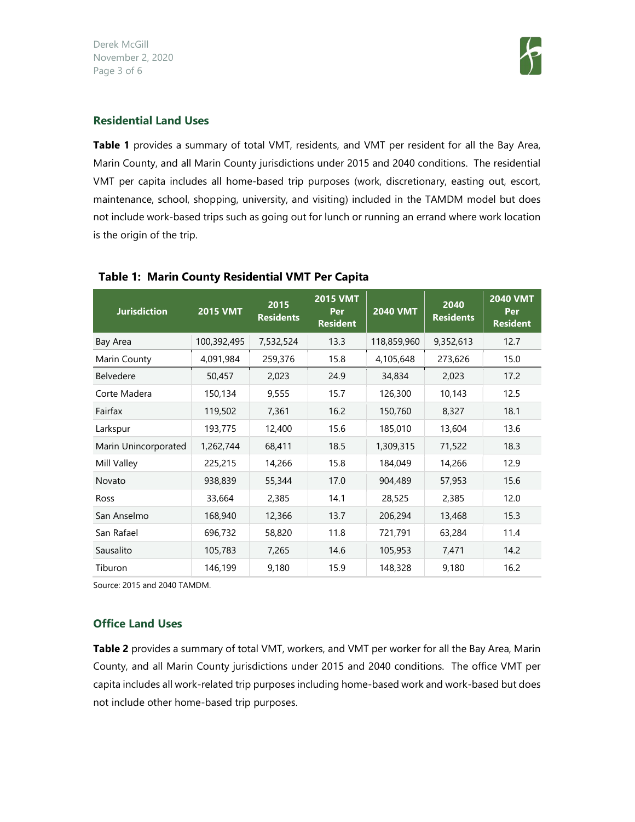Derek McGill November 2, 2020 Page 3 of 6



#### Residential Land Uses

Table 1 provides a summary of total VMT, residents, and VMT per resident for all the Bay Area, Marin County, and all Marin County jurisdictions under 2015 and 2040 conditions. The residential VMT per capita includes all home-based trip purposes (work, discretionary, easting out, escort, maintenance, school, shopping, university, and visiting) included in the TAMDM model but does not include work-based trips such as going out for lunch or running an errand where work location is the origin of the trip.

| <b>Jurisdiction</b>  | <b>2015 VMT</b> | 2015<br><b>Residents</b> | <b>2015 VMT</b><br>Per<br><b>Resident</b> | <b>2040 VMT</b> | 2040<br><b>Residents</b> | <b>2040 VMT</b><br>Per<br><b>Resident</b> |
|----------------------|-----------------|--------------------------|-------------------------------------------|-----------------|--------------------------|-------------------------------------------|
| Bay Area             | 100,392,495     | 7,532,524                | 13.3                                      | 118,859,960     | 9,352,613                | 12.7                                      |
| Marin County         | 4,091,984       | 259,376                  | 15.8                                      | 4,105,648       | 273,626                  | 15.0                                      |
| <b>Belvedere</b>     | 50,457          | 2,023                    | 24.9                                      | 34,834          | 2,023                    | 17.2                                      |
| Corte Madera         | 150,134         | 9,555                    | 15.7                                      | 126,300         | 10,143                   | 12.5                                      |
| Fairfax              | 119,502         | 7,361                    | 16.2                                      | 150,760         | 8,327                    | 18.1                                      |
| Larkspur             | 193,775         | 12,400                   | 15.6                                      | 185,010         | 13,604                   | 13.6                                      |
| Marin Unincorporated | 1,262,744       | 68,411                   | 18.5                                      | 1,309,315       | 71,522                   | 18.3                                      |
| Mill Valley          | 225,215         | 14,266                   | 15.8                                      | 184,049         | 14,266                   | 12.9                                      |
| Novato               | 938,839         | 55,344                   | 17.0                                      | 904,489         | 57,953                   | 15.6                                      |
| Ross                 | 33,664          | 2,385                    | 14.1                                      | 28,525          | 2,385                    | 12.0                                      |
| San Anselmo          | 168,940         | 12,366                   | 13.7                                      | 206,294         | 13,468                   | 15.3                                      |
| San Rafael           | 696,732         | 58,820                   | 11.8                                      | 721,791         | 63,284                   | 11.4                                      |
| Sausalito            | 105,783         | 7,265                    | 14.6                                      | 105,953         | 7,471                    | 14.2                                      |
| Tiburon              | 146,199         | 9,180                    | 15.9                                      | 148,328         | 9,180                    | 16.2                                      |

#### Table 1: Marin County Residential VMT Per Capita

Source: 2015 and 2040 TAMDM.

#### Office Land Uses

Table 2 provides a summary of total VMT, workers, and VMT per worker for all the Bay Area, Marin County, and all Marin County jurisdictions under 2015 and 2040 conditions. The office VMT per capita includes all work-related trip purposes including home-based work and work-based but does not include other home-based trip purposes.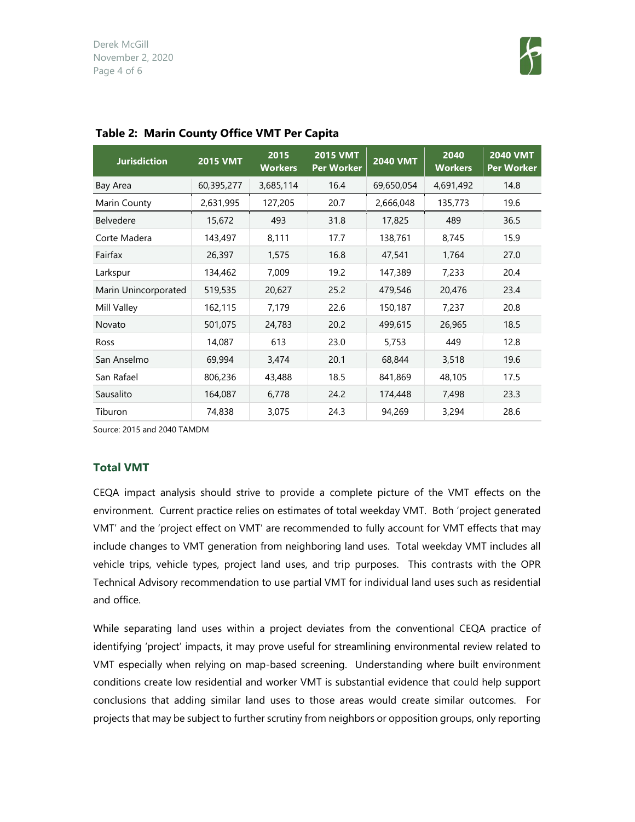

| <b>Jurisdiction</b>  | <b>2015 VMT</b> | 2015<br><b>Workers</b> | <b>2015 VMT</b><br><b>Per Worker</b> | <b>2040 VMT</b> | 2040<br><b>Workers</b> | <b>2040 VMT</b><br><b>Per Worker</b> |
|----------------------|-----------------|------------------------|--------------------------------------|-----------------|------------------------|--------------------------------------|
| Bay Area             | 60,395,277      | 3,685,114              | 16.4                                 | 69,650,054      | 4,691,492              | 14.8                                 |
| Marin County         | 2,631,995       | 127,205                | 20.7                                 | 2,666,048       | 135,773                | 19.6                                 |
| <b>Belvedere</b>     | 15,672          | 493                    | 31.8                                 | 17,825          | 489                    | 36.5                                 |
| Corte Madera         | 143,497         | 8,111                  | 17.7                                 | 138,761         | 8,745                  | 15.9                                 |
| Fairfax              | 26,397          | 1,575                  | 16.8                                 | 47,541          | 1,764                  | 27.0                                 |
| Larkspur             | 134,462         | 7,009                  | 19.2                                 | 147,389         | 7,233                  | 20.4                                 |
| Marin Unincorporated | 519,535         | 20,627                 | 25.2                                 | 479,546         | 20,476                 | 23.4                                 |
| Mill Valley          | 162,115         | 7,179                  | 22.6                                 | 150,187         | 7,237                  | 20.8                                 |
| Novato               | 501,075         | 24,783                 | 20.2                                 | 499,615         | 26,965                 | 18.5                                 |
| Ross                 | 14,087          | 613                    | 23.0                                 | 5,753           | 449                    | 12.8                                 |
| San Anselmo          | 69,994          | 3,474                  | 20.1                                 | 68,844          | 3,518                  | 19.6                                 |
| San Rafael           | 806,236         | 43,488                 | 18.5                                 | 841,869         | 48,105                 | 17.5                                 |
| Sausalito            | 164,087         | 6,778                  | 24.2                                 | 174,448         | 7,498                  | 23.3                                 |
| Tiburon              | 74,838          | 3,075                  | 24.3                                 | 94,269          | 3,294                  | 28.6                                 |

#### Table 2: Marin County Office VMT Per Capita

Source: 2015 and 2040 TAMDM

#### Total VMT

CEQA impact analysis should strive to provide a complete picture of the VMT effects on the environment. Current practice relies on estimates of total weekday VMT. Both 'project generated VMT' and the 'project effect on VMT' are recommended to fully account for VMT effects that may include changes to VMT generation from neighboring land uses. Total weekday VMT includes all vehicle trips, vehicle types, project land uses, and trip purposes. This contrasts with the OPR Technical Advisory recommendation to use partial VMT for individual land uses such as residential and office.

While separating land uses within a project deviates from the conventional CEQA practice of identifying 'project' impacts, it may prove useful for streamlining environmental review related to VMT especially when relying on map-based screening. Understanding where built environment conditions create low residential and worker VMT is substantial evidence that could help support conclusions that adding similar land uses to those areas would create similar outcomes. For projects that may be subject to further scrutiny from neighbors or opposition groups, only reporting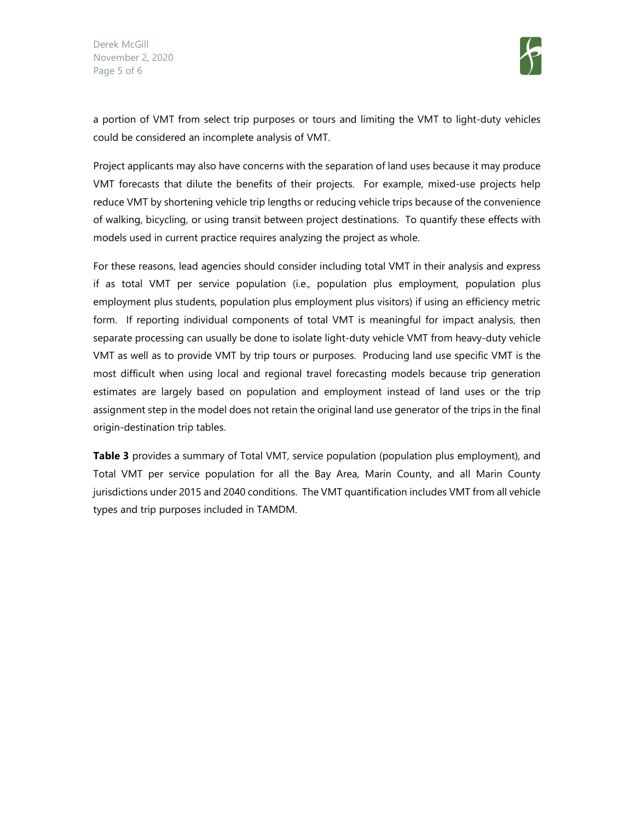

a portion of VMT from select trip purposes or tours and limiting the VMT to light-duty vehicles could be considered an incomplete analysis of VMT.

Project applicants may also have concerns with the separation of land uses because it may produce VMT forecasts that dilute the benefits of their projects. For example, mixed-use projects help reduce VMT by shortening vehicle trip lengths or reducing vehicle trips because of the convenience of walking, bicycling, or using transit between project destinations. To quantify these effects with models used in current practice requires analyzing the project as whole.

For these reasons, lead agencies should consider including total VMT in their analysis and express if as total VMT per service population (i.e., population plus employment, population plus employment plus students, population plus employment plus visitors) if using an efficiency metric form. If reporting individual components of total VMT is meaningful for impact analysis, then separate processing can usually be done to isolate light-duty vehicle VMT from heavy-duty vehicle VMT as well as to provide VMT by trip tours or purposes. Producing land use specific VMT is the most difficult when using local and regional travel forecasting models because trip generation estimates are largely based on population and employment instead of land uses or the trip assignment step in the model does not retain the original land use generator of the trips in the final origin-destination trip tables.

Table 3 provides a summary of Total VMT, service population (population plus employment), and Total VMT per service population for all the Bay Area, Marin County, and all Marin County jurisdictions under 2015 and 2040 conditions. The VMT quantification includes VMT from all vehicle types and trip purposes included in TAMDM.